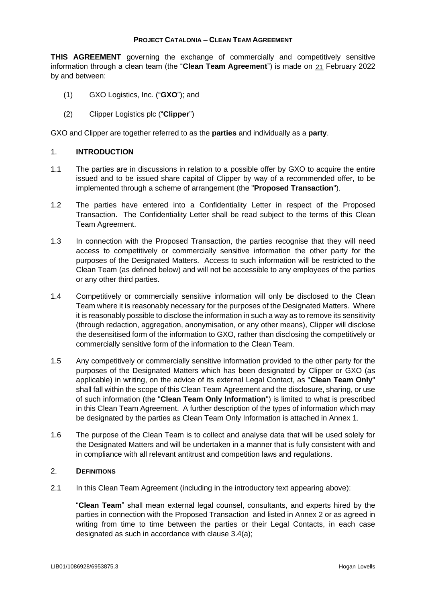### **PROJECT CATALONIA – CLEAN TEAM AGREEMENT**

**THIS AGREEMENT** governing the exchange of commercially and competitively sensitive information through a clean team (the "**Clean Team Agreement**") is made on <u>21</u> February 2022 by and between:

- (1) GXO Logistics, Inc. ("**GXO**"); and
- (2) Clipper Logistics plc ("**Clipper**")

GXO and Clipper are together referred to as the **parties** and individually as a **party**.

### 1. **INTRODUCTION**

- 1.1 The parties are in discussions in relation to a possible offer by GXO to acquire the entire issued and to be issued share capital of Clipper by way of a recommended offer, to be implemented through a scheme of arrangement (the "**Proposed Transaction**").
- 1.2 The parties have entered into a Confidentiality Letter in respect of the Proposed Transaction. The Confidentiality Letter shall be read subject to the terms of this Clean Team Agreement.
- 1.3 In connection with the Proposed Transaction, the parties recognise that they will need access to competitively or commercially sensitive information the other party for the purposes of the Designated Matters. Access to such information will be restricted to the Clean Team (as defined below) and will not be accessible to any employees of the parties or any other third parties.
- 1.4 Competitively or commercially sensitive information will only be disclosed to the Clean Team where it is reasonably necessary for the purposes of the Designated Matters. Where it is reasonably possible to disclose the information in such a way as to remove its sensitivity (through redaction, aggregation, anonymisation, or any other means), Clipper will disclose the desensitised form of the information to GXO, rather than disclosing the competitively or commercially sensitive form of the information to the Clean Team.
- 1.5 Any competitively or commercially sensitive information provided to the other party for the purposes of the Designated Matters which has been designated by Clipper or GXO (as applicable) in writing, on the advice of its external Legal Contact, as "**Clean Team Only**" shall fall within the scope of this Clean Team Agreement and the disclosure, sharing, or use of such information (the "**Clean Team Only Information**") is limited to what is prescribed in this Clean Team Agreement. A further description of the types of information which may be designated by the parties as Clean Team Only Information is attached in Annex 1.
- 1.6 The purpose of the Clean Team is to collect and analyse data that will be used solely for the Designated Matters and will be undertaken in a manner that is fully consistent with and in compliance with all relevant antitrust and competition laws and regulations.

### 2. **DEFINITIONS**

2.1 In this Clean Team Agreement (including in the introductory text appearing above):

"**Clean Team**" shall mean external legal counsel, consultants, and experts hired by the parties in connection with the Proposed Transaction and listed in Annex 2 or as agreed in writing from time to time between the parties or their Legal Contacts, in each case designated as such in accordance with clause 3.4(a);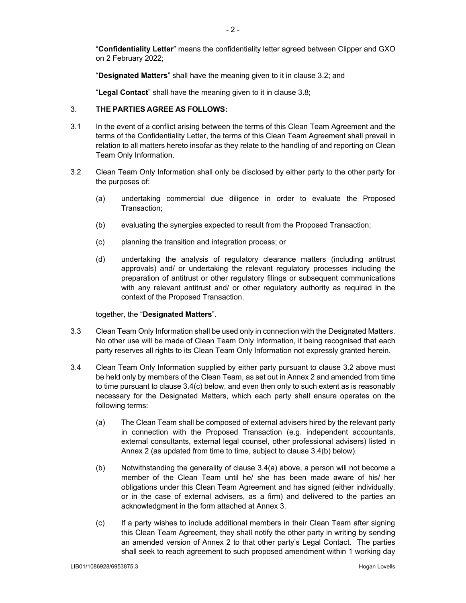"**Confidentiality Letter**" means the confidentiality letter agreed between Clipper and GXO on 2 February 2022;

"**Designated Matters**" shall have the meaning given to it in clause 3.2; and

"**Legal Contact**" shall have the meaning given to it in clause 3.8;

### 3. **THE PARTIES AGREE AS FOLLOWS:**

- 3.1 In the event of a conflict arising between the terms of this Clean Team Agreement and the terms of the Confidentiality Letter, the terms of this Clean Team Agreement shall prevail in relation to all matters hereto insofar as they relate to the handling of and reporting on Clean Team Only Information.
- 3.2 Clean Team Only Information shall only be disclosed by either party to the other party for the purposes of:
	- (a) undertaking commercial due diligence in order to evaluate the Proposed Transaction;
	- (b) evaluating the synergies expected to result from the Proposed Transaction;
	- (c) planning the transition and integration process; or
	- (d) undertaking the analysis of regulatory clearance matters (including antitrust approvals) and/ or undertaking the relevant regulatory processes including the preparation of antitrust or other regulatory filings or subsequent communications with any relevant antitrust and/ or other regulatory authority as required in the context of the Proposed Transaction.

together, the "**Designated Matters**".

- 3.3 Clean Team Only Information shall be used only in connection with the Designated Matters. No other use will be made of Clean Team Only Information, it being recognised that each party reserves all rights to its Clean Team Only Information not expressly granted herein.
- 3.4 Clean Team Only Information supplied by either party pursuant to clause 3.2 above must be held only by members of the Clean Team, as set out in Annex 2 and amended from time to time pursuant to clause 3.4(c) below, and even then only to such extent as is reasonably necessary for the Designated Matters, which each party shall ensure operates on the following terms:
	- (a) The Clean Team shall be composed of external advisers hired by the relevant party in connection with the Proposed Transaction (e.g. independent accountants, external consultants, external legal counsel, other professional advisers) listed in Annex 2 (as updated from time to time, subject to clause 3.4(b) below).
	- (b) Notwithstanding the generality of clause 3.4(a) above, a person will not become a member of the Clean Team until he/ she has been made aware of his/ her obligations under this Clean Team Agreement and has signed (either individually, or in the case of external advisers, as a firm) and delivered to the parties an acknowledgment in the form attached at Annex 3.
	- (c) If a party wishes to include additional members in their Clean Team after signing this Clean Team Agreement, they shall notify the other party in writing by sending an amended version of Annex 2 to that other party's Legal Contact. The parties shall seek to reach agreement to such proposed amendment within 1 working day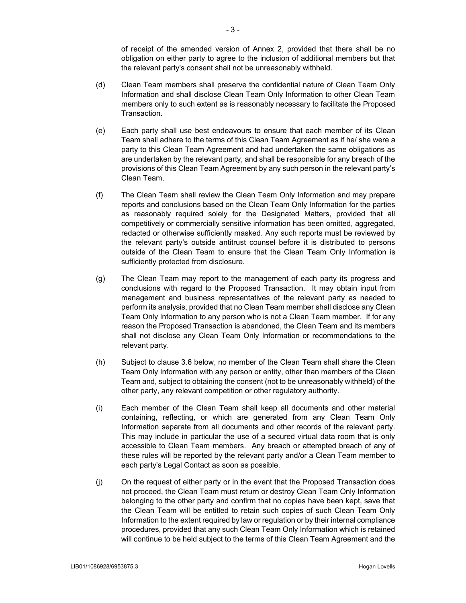of receipt of the amended version of Annex 2, provided that there shall be no obligation on either party to agree to the inclusion of additional members but that the relevant party's consent shall not be unreasonably withheld.

- (d) Clean Team members shall preserve the confidential nature of Clean Team Only Information and shall disclose Clean Team Only Information to other Clean Team members only to such extent as is reasonably necessary to facilitate the Proposed Transaction.
- (e) Each party shall use best endeavours to ensure that each member of its Clean Team shall adhere to the terms of this Clean Team Agreement as if he/ she were a party to this Clean Team Agreement and had undertaken the same obligations as are undertaken by the relevant party, and shall be responsible for any breach of the provisions of this Clean Team Agreement by any such person in the relevant party's Clean Team.
- (f) The Clean Team shall review the Clean Team Only Information and may prepare reports and conclusions based on the Clean Team Only Information for the parties as reasonably required solely for the Designated Matters, provided that all competitively or commercially sensitive information has been omitted, aggregated, redacted or otherwise sufficiently masked. Any such reports must be reviewed by the relevant party's outside antitrust counsel before it is distributed to persons outside of the Clean Team to ensure that the Clean Team Only Information is sufficiently protected from disclosure.
- (g) The Clean Team may report to the management of each party its progress and conclusions with regard to the Proposed Transaction. It may obtain input from management and business representatives of the relevant party as needed to perform its analysis, provided that no Clean Team member shall disclose any Clean Team Only Information to any person who is not a Clean Team member. If for any reason the Proposed Transaction is abandoned, the Clean Team and its members shall not disclose any Clean Team Only Information or recommendations to the relevant party.
- (h) Subject to clause 3.6 below, no member of the Clean Team shall share the Clean Team Only Information with any person or entity, other than members of the Clean Team and, subject to obtaining the consent (not to be unreasonably withheld) of the other party, any relevant competition or other regulatory authority.
- (i) Each member of the Clean Team shall keep all documents and other material containing, reflecting, or which are generated from any Clean Team Only Information separate from all documents and other records of the relevant party. This may include in particular the use of a secured virtual data room that is only accessible to Clean Team members. Any breach or attempted breach of any of these rules will be reported by the relevant party and/or a Clean Team member to each party's Legal Contact as soon as possible.
- (j) On the request of either party or in the event that the Proposed Transaction does not proceed, the Clean Team must return or destroy Clean Team Only Information belonging to the other party and confirm that no copies have been kept, save that the Clean Team will be entitled to retain such copies of such Clean Team Only Information to the extent required by law or regulation or by their internal compliance procedures, provided that any such Clean Team Only Information which is retained will continue to be held subject to the terms of this Clean Team Agreement and the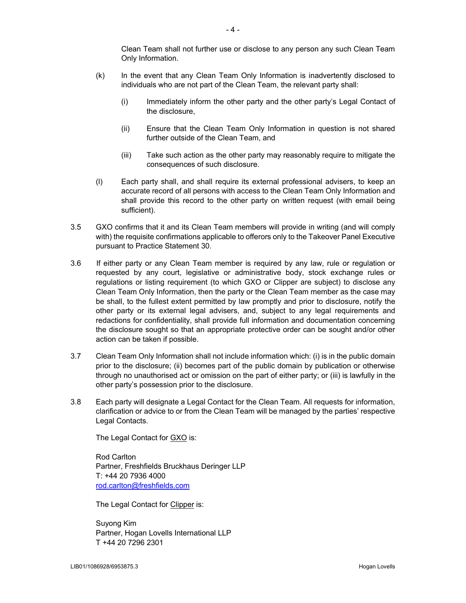Clean Team shall not further use or disclose to any person any such Clean Team Only Information.

- (k) In the event that any Clean Team Only Information is inadvertently disclosed to individuals who are not part of the Clean Team, the relevant party shall:
	- (i) Immediately inform the other party and the other party's Legal Contact of the disclosure,
	- (ii) Ensure that the Clean Team Only Information in question is not shared further outside of the Clean Team, and
	- (iii) Take such action as the other party may reasonably require to mitigate the consequences of such disclosure.
- (l) Each party shall, and shall require its external professional advisers, to keep an accurate record of all persons with access to the Clean Team Only Information and shall provide this record to the other party on written request (with email being sufficient).
- 3.5 GXO confirms that it and its Clean Team members will provide in writing (and will comply with) the requisite confirmations applicable to offerors only to the Takeover Panel Executive pursuant to Practice Statement 30.
- 3.6 If either party or any Clean Team member is required by any law, rule or regulation or requested by any court, legislative or administrative body, stock exchange rules or regulations or listing requirement (to which GXO or Clipper are subject) to disclose any Clean Team Only Information, then the party or the Clean Team member as the case may be shall, to the fullest extent permitted by law promptly and prior to disclosure, notify the other party or its external legal advisers, and, subject to any legal requirements and redactions for confidentiality, shall provide full information and documentation concerning the disclosure sought so that an appropriate protective order can be sought and/or other action can be taken if possible.
- 3.7 Clean Team Only Information shall not include information which: (i) is in the public domain prior to the disclosure; (ii) becomes part of the public domain by publication or otherwise through no unauthorised act or omission on the part of either party; or (iii) is lawfully in the other party's possession prior to the disclosure.
- 3.8 Each party will designate a Legal Contact for the Clean Team. All requests for information, clarification or advice to or from the Clean Team will be managed by the parties' respective Legal Contacts.

The Legal Contact for GXO is:

Rod Carlton Partner, Freshfields Bruckhaus Deringer LLP T: +44 20 7936 4000 rod.carlton@freshfields.com

The Legal Contact for Clipper is:

Suyong Kim Partner, Hogan Lovells International LLP T +44 20 7296 2301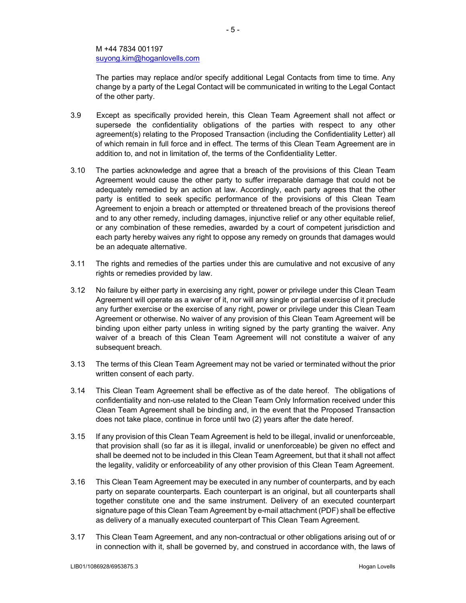The parties may replace and/or specify additional Legal Contacts from time to time. Any change by a party of the Legal Contact will be communicated in writing to the Legal Contact of the other party.

- 3.9 Except as specifically provided herein, this Clean Team Agreement shall not affect or supersede the confidentiality obligations of the parties with respect to any other agreement(s) relating to the Proposed Transaction (including the Confidentiality Letter) all of which remain in full force and in effect. The terms of this Clean Team Agreement are in addition to, and not in limitation of, the terms of the Confidentiality Letter.
- 3.10 The parties acknowledge and agree that a breach of the provisions of this Clean Team Agreement would cause the other party to suffer irreparable damage that could not be adequately remedied by an action at law. Accordingly, each party agrees that the other party is entitled to seek specific performance of the provisions of this Clean Team Agreement to enjoin a breach or attempted or threatened breach of the provisions thereof and to any other remedy, including damages, injunctive relief or any other equitable relief, or any combination of these remedies, awarded by a court of competent jurisdiction and each party hereby waives any right to oppose any remedy on grounds that damages would be an adequate alternative.
- 3.11 The rights and remedies of the parties under this are cumulative and not excusive of any rights or remedies provided by law.
- 3.12 No failure by either party in exercising any right, power or privilege under this Clean Team Agreement will operate as a waiver of it, nor will any single or partial exercise of it preclude any further exercise or the exercise of any right, power or privilege under this Clean Team Agreement or otherwise. No waiver of any provision of this Clean Team Agreement will be binding upon either party unless in writing signed by the party granting the waiver. Any waiver of a breach of this Clean Team Agreement will not constitute a waiver of any subsequent breach.
- 3.13 The terms of this Clean Team Agreement may not be varied or terminated without the prior written consent of each party.
- 3.14 This Clean Team Agreement shall be effective as of the date hereof. The obligations of confidentiality and non-use related to the Clean Team Only Information received under this Clean Team Agreement shall be binding and, in the event that the Proposed Transaction does not take place, continue in force until two (2) years after the date hereof.
- 3.15 If any provision of this Clean Team Agreement is held to be illegal, invalid or unenforceable, that provision shall (so far as it is illegal, invalid or unenforceable) be given no effect and shall be deemed not to be included in this Clean Team Agreement, but that it shall not affect the legality, validity or enforceability of any other provision of this Clean Team Agreement.
- 3.16 This Clean Team Agreement may be executed in any number of counterparts, and by each party on separate counterparts. Each counterpart is an original, but all counterparts shall together constitute one and the same instrument. Delivery of an executed counterpart signature page of this Clean Team Agreement by e-mail attachment (PDF) shall be effective as delivery of a manually executed counterpart of This Clean Team Agreement.
- 3.17 This Clean Team Agreement, and any non-contractual or other obligations arising out of or in connection with it, shall be governed by, and construed in accordance with, the laws of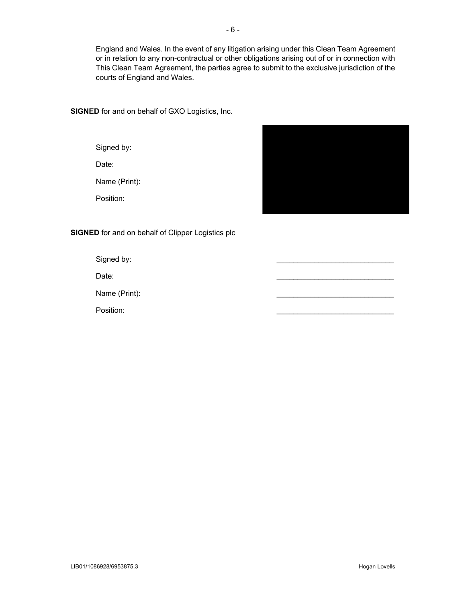England and Wales. In the event of any litigation arising under this Clean Team Agreement or in relation to any non-contractual or other obligations arising out of or in connection with This Clean Team Agreement, the parties agree to submit to the exclusive jurisdiction of the courts of England and Wales.

**SIGNED** for and on behalf of GXO Logistics, Inc.

Signed by:

Date:

Name (Print):

Position:



**SIGNED** for and on behalf of Clipper Logistics plc

Signed by:

Date: \_\_\_\_\_\_\_\_\_\_\_\_\_\_\_\_\_\_\_\_\_\_\_\_\_\_\_\_

Name (Print):

Position: \_\_\_\_\_\_\_\_\_\_\_\_\_\_\_\_\_\_\_\_\_\_\_\_\_\_\_\_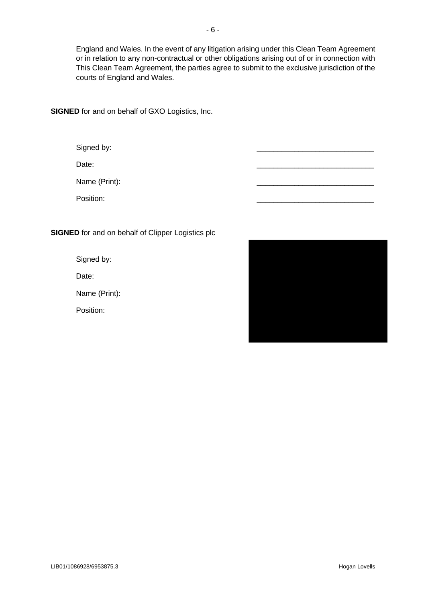England and Wales. In the event of any litigation arising under this Clean Team Agreement or in relation to any non-contractual or other obligations arising out of or in connection with This Clean Team Agreement, the parties agree to submit to the exclusive jurisdiction of the courts of England and Wales.

**SIGNED** for and on behalf of GXO Logistics, Inc.

Signed by:

Date: \_\_\_\_\_\_\_\_\_\_\_\_\_\_\_\_\_\_\_\_\_\_\_\_\_\_\_\_

Name (Print):

Position: \_\_\_\_\_\_\_\_\_\_\_\_\_\_\_\_\_\_\_\_\_\_\_\_\_\_\_\_

**SIGNED** for and on behalf of Clipper Logistics plc

Signed by:

Date:

Name (Print):

Position:

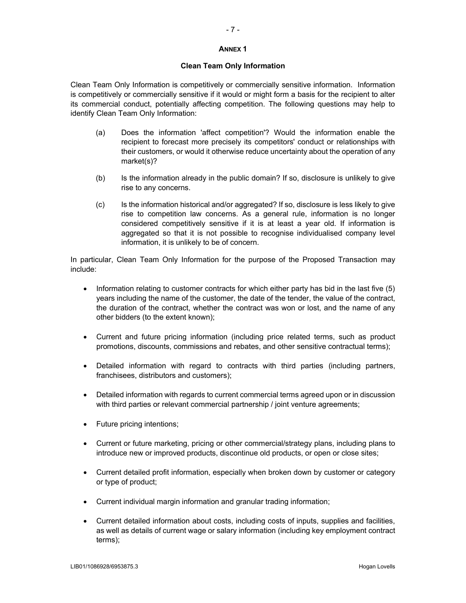# - 7 -

#### **ANNEX 1**

#### **Clean Team Only Information**

Clean Team Only Information is competitively or commercially sensitive information. Information is competitively or commercially sensitive if it would or might form a basis for the recipient to alter its commercial conduct, potentially affecting competition. The following questions may help to identify Clean Team Only Information:

- (a) Does the information 'affect competition'? Would the information enable the recipient to forecast more precisely its competitors' conduct or relationships with their customers, or would it otherwise reduce uncertainty about the operation of any market(s)?
- (b) Is the information already in the public domain? If so, disclosure is unlikely to give rise to any concerns.
- (c) Is the information historical and/or aggregated? If so, disclosure is less likely to give rise to competition law concerns. As a general rule, information is no longer considered competitively sensitive if it is at least a year old. If information is aggregated so that it is not possible to recognise individualised company level information, it is unlikely to be of concern.

In particular, Clean Team Only Information for the purpose of the Proposed Transaction may include:

- Information relating to customer contracts for which either party has bid in the last five  $(5)$ years including the name of the customer, the date of the tender, the value of the contract, the duration of the contract, whether the contract was won or lost, and the name of any other bidders (to the extent known);
- Current and future pricing information (including price related terms, such as product promotions, discounts, commissions and rebates, and other sensitive contractual terms);
- Detailed information with regard to contracts with third parties (including partners, franchisees, distributors and customers);
- Detailed information with regards to current commercial terms agreed upon or in discussion with third parties or relevant commercial partnership / joint venture agreements;
- Future pricing intentions;
- Current or future marketing, pricing or other commercial/strategy plans, including plans to introduce new or improved products, discontinue old products, or open or close sites;
- Current detailed profit information, especially when broken down by customer or category or type of product;
- Current individual margin information and granular trading information;
- Current detailed information about costs, including costs of inputs, supplies and facilities, as well as details of current wage or salary information (including key employment contract terms);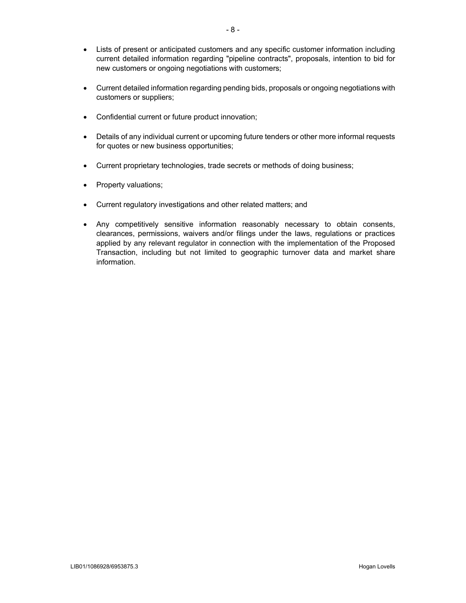- Lists of present or anticipated customers and any specific customer information including current detailed information regarding "pipeline contracts", proposals, intention to bid for new customers or ongoing negotiations with customers;
- Current detailed information regarding pending bids, proposals or ongoing negotiations with customers or suppliers;
- Confidential current or future product innovation;
- Details of any individual current or upcoming future tenders or other more informal requests for quotes or new business opportunities;
- Current proprietary technologies, trade secrets or methods of doing business;
- Property valuations;
- Current regulatory investigations and other related matters; and
- Any competitively sensitive information reasonably necessary to obtain consents, clearances, permissions, waivers and/or filings under the laws, regulations or practices applied by any relevant regulator in connection with the implementation of the Proposed Transaction, including but not limited to geographic turnover data and market share information.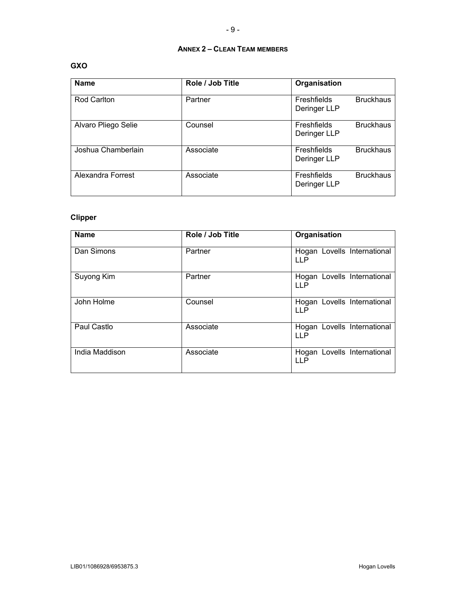# **ANNEX 2 – CLEAN TEAM MEMBERS**

### **GXO**

| <b>Name</b>         | Role / Job Title | Organisation                                    |
|---------------------|------------------|-------------------------------------------------|
| Rod Carlton         | Partner          | <b>Bruckhaus</b><br>Freshfields<br>Deringer LLP |
| Alvaro Pliego Selie | Counsel          | <b>Bruckhaus</b><br>Freshfields<br>Deringer LLP |
| Joshua Chamberlain  | Associate        | <b>Bruckhaus</b><br>Freshfields<br>Deringer LLP |
| Alexandra Forrest   | Associate        | Freshfields<br><b>Bruckhaus</b><br>Deringer LLP |

## **Clipper**

| <b>Name</b>    | Role / Job Title | Organisation                              |
|----------------|------------------|-------------------------------------------|
| Dan Simons     | Partner          | Hogan Lovells International<br><b>LLP</b> |
| Suyong Kim     | Partner          | Hogan Lovells International<br>LLP.       |
| John Holme     | Counsel          | Hogan Lovells International<br><b>LLP</b> |
| Paul Castlo    | Associate        | Hogan Lovells International<br><b>LLP</b> |
| India Maddison | Associate        | Hogan Lovells International<br>LL P       |